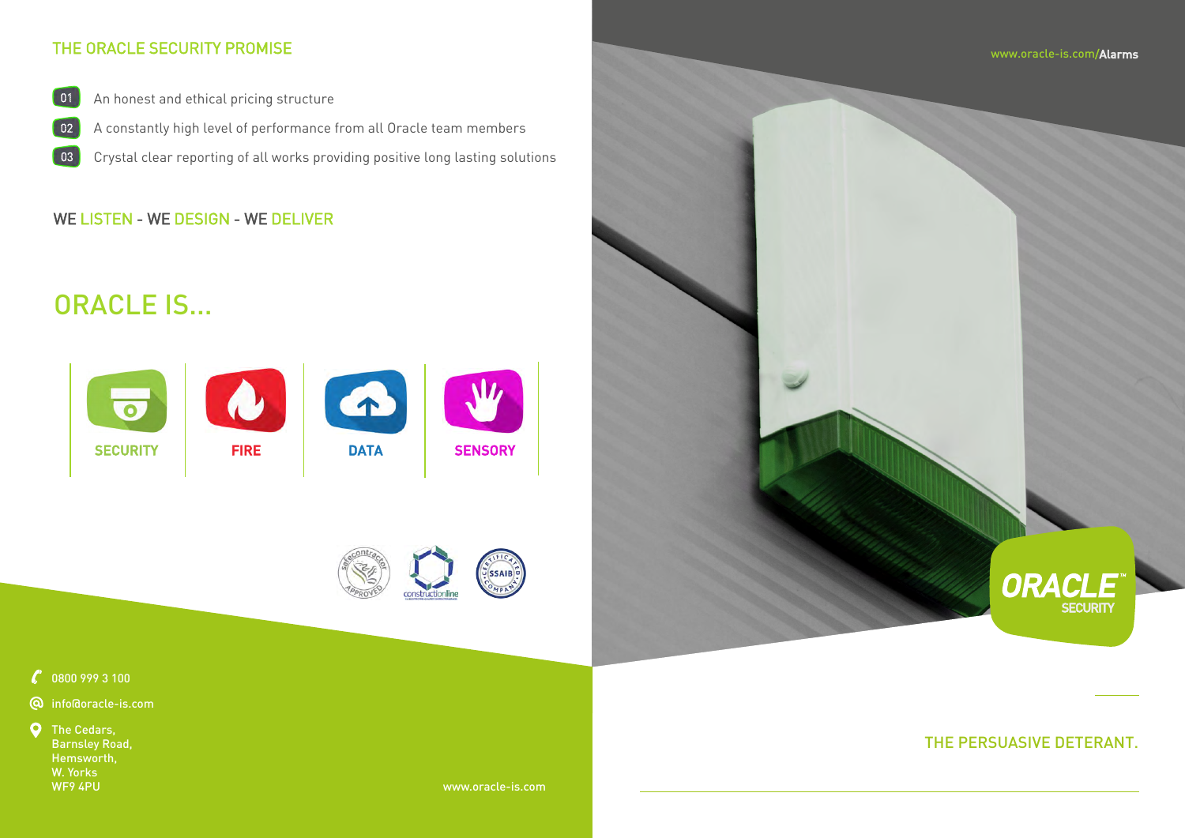

 $\mathcal{C}$  0800 999 3 100

## THE PERSUASIVE DETERANT.

# ORACLE IS...





## THE ORACLE SECURITY PROMISE

**Q** The Cedars, Barnsley Road, Hemsworth, W. Yorks WF9 4PU

- An honest and ethical pricing structure  $\begin{bmatrix} 01 \end{bmatrix}$
- A constantly high level of performance from all Oracle team members  $\begin{bmatrix} 02 \end{bmatrix}$
- Crystal clear reporting of all works providing positive long lasting solutions 03

## WE LISTEN - WE DESIGN - WE DELIVER

www.oracle-is.com

info@oracle-is.com